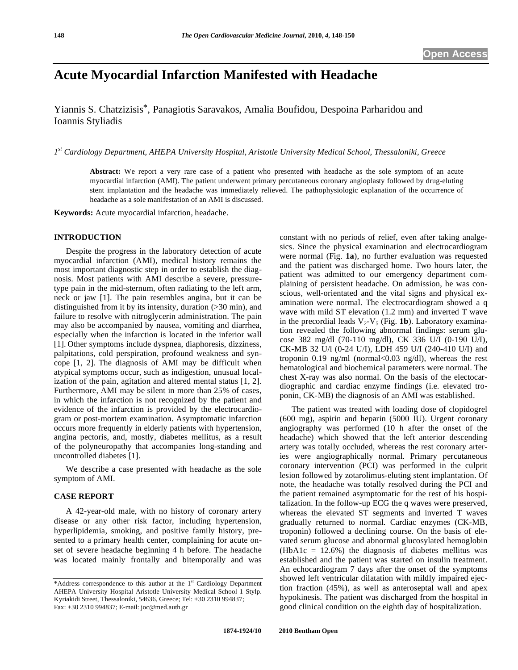# **Acute Myocardial Infarction Manifested with Headache**

Yiannis S. Chatzizisis\*, Panagiotis Saravakos, Amalia Boufidou, Despoina Parharidou and Ioannis Styliadis

*1st Cardiology Department, AHEPA University Hospital, Aristotle University Medical School, Thessaloniki, Greece* 

**Abstract:** We report a very rare case of a patient who presented with headache as the sole symptom of an acute myocardial infarction (AMI). The patient underwent primary percutaneous coronary angioplasty followed by drug-eluting stent implantation and the headache was immediately relieved. The pathophysiologic explanation of the occurrence of headache as a sole manifestation of an AMI is discussed.

**Keywords:** Acute myocardial infarction, headache.

## **INTRODUCTION**

 Despite the progress in the laboratory detection of acute myocardial infarction (AMI), medical history remains the most important diagnostic step in order to establish the diagnosis. Most patients with AMI describe a severe, pressuretype pain in the mid-sternum, often radiating to the left arm, neck or jaw [1]. The pain resembles angina, but it can be distinguished from it by its intensity, duration (>30 min), and failure to resolve with nitroglycerin administration. The pain may also be accompanied by nausea, vomiting and diarrhea, especially when the infarction is located in the inferior wall [1]. Other symptoms include dyspnea, diaphoresis, dizziness, palpitations, cold perspiration, profound weakness and syncope [1, 2]. The diagnosis of AMI may be difficult when atypical symptoms occur, such as indigestion, unusual localization of the pain, agitation and altered mental status [1, 2]. Furthermore, AMI may be silent in more than 25% of cases, in which the infarction is not recognized by the patient and evidence of the infarction is provided by the electrocardiogram or post-mortem examination. Asymptomatic infarction occurs more frequently in elderly patients with hypertension, angina pectoris, and, mostly, diabetes mellitus, as a result of the polyneuropathy that accompanies long-standing and uncontrolled diabetes [1].

 We describe a case presented with headache as the sole symptom of AMI.

## **CASE REPORT**

 A 42-year-old male, with no history of coronary artery disease or any other risk factor, including hypertension, hyperlipidemia, smoking, and positive family history, presented to a primary health center, complaining for acute onset of severe headache beginning 4 h before. The headache was located mainly frontally and bitemporally and was constant with no periods of relief, even after taking analgesics. Since the physical examination and electrocardiogram were normal (Fig. **1a**), no further evaluation was requested and the patient was discharged home. Two hours later, the patient was admitted to our emergency department complaining of persistent headache. On admission, he was conscious, well-orientated and the vital signs and physical examination were normal. The electrocardiogram showed a q wave with mild ST elevation (1.2 mm) and inverted T wave in the precordial leads  $V_2$ - $V_5$  (Fig. **1b**). Laboratory examination revealed the following abnormal findings: serum glucose 382 mg/dl (70-110 mg/dl), CK 336 U/I (0-190 U/I), CK-MB 32 U/l (0-24 U/I), LDH 459 U/I (240-410 U/I) and troponin 0.19 ng/ml (normal< $0.03$  ng/dl), whereas the rest hematological and biochemical parameters were normal. The chest X-ray was also normal. On the basis of the electocardiographic and cardiac enzyme findings (i.e. elevated troponin, CK-MB) the diagnosis of an AMI was established.

 The patient was treated with loading dose of clopidogrel (600 mg), aspirin and heparin (5000 IU). Urgent coronary angiography was performed (10 h after the onset of the headache) which showed that the left anterior descending artery was totally occluded, whereas the rest coronary arteries were angiographically normal. Primary percutaneous coronary intervention (PCI) was performed in the culprit lesion followed by zotarolimus-eluting stent implantation. Of note, the headache was totally resolved during the PCI and the patient remained asymptomatic for the rest of his hospitalization. In the follow-up ECG the q waves were preserved, whereas the elevated ST segments and inverted T waves gradually returned to normal. Cardiac enzymes (CK-MB, troponin) followed a declining course. On the basis of elevated serum glucose and abnormal glucosylated hemoglobin (HbA1c =  $12.6\%$ ) the diagnosis of diabetes mellitus was established and the patient was started on insulin treatment. An echocardiogram 7 days after the onset of the symptoms showed left ventricular dilatation with mildly impaired ejection fraction (45%), as well as anteroseptal wall and apex hypokinesis. The patient was discharged from the hospital in good clinical condition on the eighth day of hospitalization.

<sup>\*</sup>Address correspondence to this author at the  $1<sup>st</sup>$  Cardiology Department AHEPA University Hospital Aristotle University Medical School 1 Stylp. Kyriakidi Street, Thessaloniki, 54636, Greece; Tel: +30 2310 994837; Fax: +30 2310 994837; E-mail: joc@med.auth.gr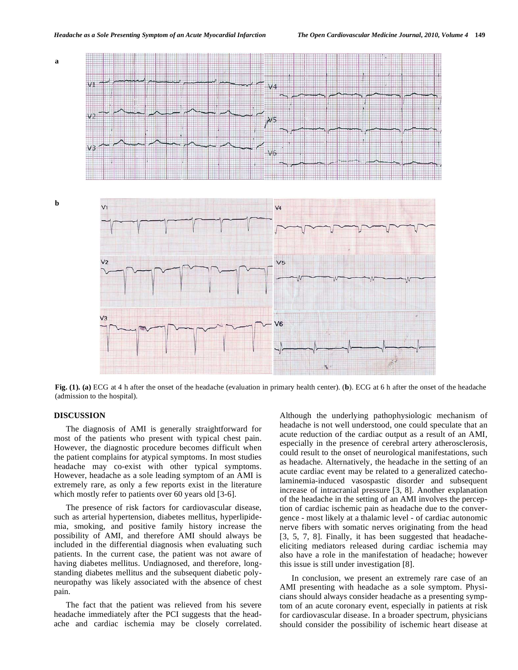

**Fig. (1). (a)** ECG at 4 h after the onset of the headache (evaluation in primary health center). (**b**). ECG at 6 h after the onset of the headache (admission to the hospital).

### **DISCUSSION**

 The diagnosis of AMI is generally straightforward for most of the patients who present with typical chest pain. However, the diagnostic procedure becomes difficult when the patient complains for atypical symptoms. In most studies headache may co-exist with other typical symptoms. However, headache as a sole leading symptom of an AMI is extremely rare, as only a few reports exist in the literature which mostly refer to patients over 60 years old [3-6].

 The presence of risk factors for cardiovascular disease, such as arterial hypertension, diabetes mellitus, hyperlipidemia, smoking, and positive family history increase the possibility of AMI, and therefore AMI should always be included in the differential diagnosis when evaluating such patients. In the current case, the patient was not aware of having diabetes mellitus. Undiagnosed, and therefore, longstanding diabetes mellitus and the subsequent diabetic polyneuropathy was likely associated with the absence of chest pain.

 The fact that the patient was relieved from his severe headache immediately after the PCI suggests that the headache and cardiac ischemia may be closely correlated.

Although the underlying pathophysiologic mechanism of headache is not well understood, one could speculate that an acute reduction of the cardiac output as a result of an AMI, especially in the presence of cerebral artery atherosclerosis, could result to the onset of neurological manifestations, such as headache. Alternatively, the headache in the setting of an acute cardiac event may be related to a generalized catecholaminemia-induced vasospastic disorder and subsequent increase of intracranial pressure [3, 8]. Another explanation of the headache in the setting of an AMI involves the perception of cardiac ischemic pain as headache due to the convergence - most likely at a thalamic level - of cardiac autonomic nerve fibers with somatic nerves originating from the head [3, 5, 7, 8]. Finally, it has been suggested that headacheeliciting mediators released during cardiac ischemia may also have a role in the manifestation of headache; however this issue is still under investigation [8].

 In conclusion, we present an extremely rare case of an AMI presenting with headache as a sole symptom. Physicians should always consider headache as a presenting symptom of an acute coronary event, especially in patients at risk for cardiovascular disease. In a broader spectrum, physicians should consider the possibility of ischemic heart disease at